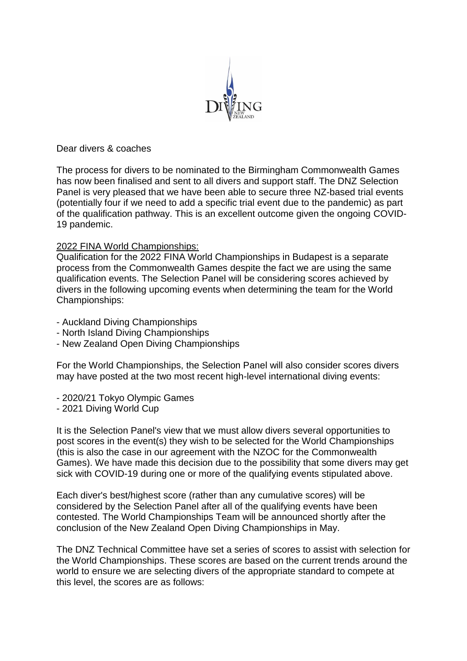

Dear divers & coaches

The process for divers to be nominated to the Birmingham Commonwealth Games has now been finalised and sent to all divers and support staff. The DNZ Selection Panel is very pleased that we have been able to secure three NZ-based trial events (potentially four if we need to add a specific trial event due to the pandemic) as part of the qualification pathway. This is an excellent outcome given the ongoing COVID-19 pandemic.

## 2022 FINA World Championships:

Qualification for the 2022 FINA World Championships in Budapest is a separate process from the Commonwealth Games despite the fact we are using the same qualification events. The Selection Panel will be considering scores achieved by divers in the following upcoming events when determining the team for the World Championships:

- Auckland Diving Championships
- North Island Diving Championships
- New Zealand Open Diving Championships

For the World Championships, the Selection Panel will also consider scores divers may have posted at the two most recent high-level international diving events:

- 2020/21 Tokyo Olympic Games
- 2021 Diving World Cup

It is the Selection Panel's view that we must allow divers several opportunities to post scores in the event(s) they wish to be selected for the World Championships (this is also the case in our agreement with the NZOC for the Commonwealth Games). We have made this decision due to the possibility that some divers may get sick with COVID-19 during one or more of the qualifying events stipulated above.

Each diver's best/highest score (rather than any cumulative scores) will be considered by the Selection Panel after all of the qualifying events have been contested. The World Championships Team will be announced shortly after the conclusion of the New Zealand Open Diving Championships in May.

The DNZ Technical Committee have set a series of scores to assist with selection for the World Championships. These scores are based on the current trends around the world to ensure we are selecting divers of the appropriate standard to compete at this level, the scores are as follows: